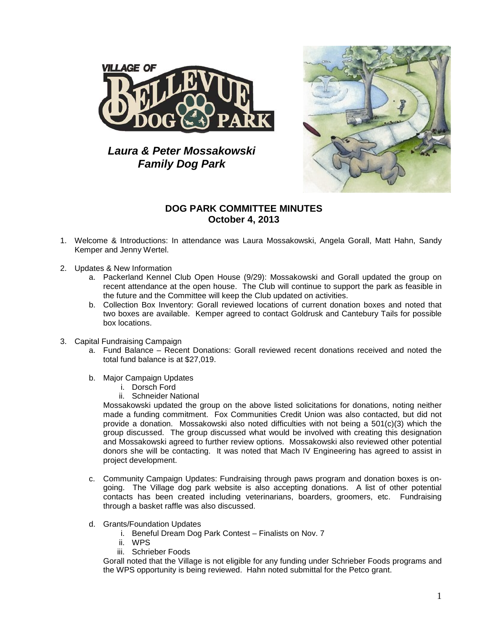

*Laura & Peter Mossakowski Family Dog Park*



## **DOG PARK COMMITTEE MINUTES October 4, 2013**

- 1. Welcome & Introductions: In attendance was Laura Mossakowski, Angela Gorall, Matt Hahn, Sandy Kemper and Jenny Wertel.
- 2. Updates & New Information
	- a. Packerland Kennel Club Open House (9/29): Mossakowski and Gorall updated the group on recent attendance at the open house. The Club will continue to support the park as feasible in the future and the Committee will keep the Club updated on activities.
	- b. Collection Box Inventory: Gorall reviewed locations of current donation boxes and noted that two boxes are available. Kemper agreed to contact Goldrusk and Cantebury Tails for possible box locations.
- 3. Capital Fundraising Campaign
	- a. Fund Balance Recent Donations: Gorall reviewed recent donations received and noted the total fund balance is at \$27,019.
	- b. Major Campaign Updates
		- i. Dorsch Ford
		- ii. Schneider National

Mossakowski updated the group on the above listed solicitations for donations, noting neither made a funding commitment. Fox Communities Credit Union was also contacted, but did not provide a donation. Mossakowski also noted difficulties with not being a 501(c)(3) which the group discussed. The group discussed what would be involved with creating this designation and Mossakowski agreed to further review options. Mossakowski also reviewed other potential donors she will be contacting. It was noted that Mach IV Engineering has agreed to assist in project development.

- c. Community Campaign Updates: Fundraising through paws program and donation boxes is ongoing. The Village dog park website is also accepting donations. A list of other potential contacts has been created including veterinarians, boarders, groomers, etc. Fundraising through a basket raffle was also discussed.
- d. Grants/Foundation Updates
	- i. Beneful Dream Dog Park Contest Finalists on Nov. 7
	- ii. WPS
	- iii. Schrieber Foods

Gorall noted that the Village is not eligible for any funding under Schrieber Foods programs and the WPS opportunity is being reviewed. Hahn noted submittal for the Petco grant.